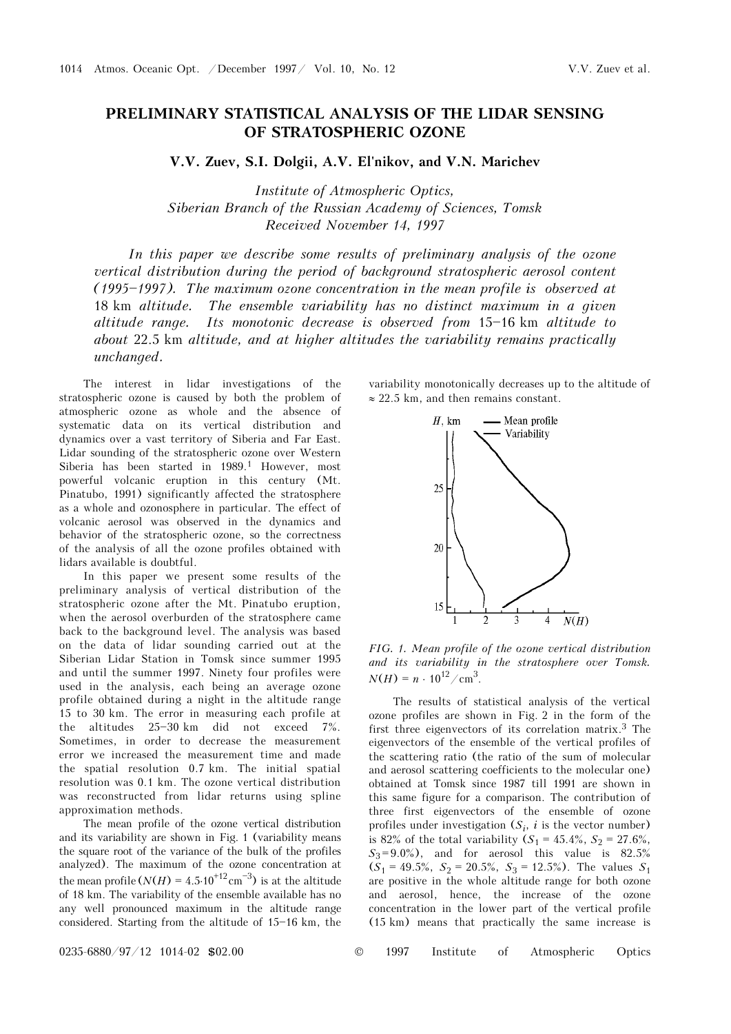## **PRELIMINARY STATISTICAL ANALYSIS OF THE LIDAR SENSING OF STRATOSPHERIC OZONE**

**V.V. Zuev, S.I. Dolgii, A.V. El'nikov, and V.N. Marichev** 

*Institute of Atmospheric Optics, Siberian Branch of the Russian Academy of Sciences, Tomsk Received November 14, 1997* 

In this paper we describe some results of preliminary analysis of the ozone *vertical distribution during the period of background stratospheric aerosol content*  (1995-1997). The maximum ozone concentration in the mean profile is observed at 18 km *altitude. The ensemble variability has no distinct maximum in a given altitude range.* Its monotonic decrease is observed from 15-16 km altitude to *about* 22.5 km *altitude, and at higher altitudes the variability remains practically unchanged.* 

The interest in lidar investigations of the stratospheric ozone is caused by both the problem of atmospheric ozone as whole and the absence of systematic data on its vertical distribution and dynamics over a vast territory of Siberia and Far East. Lidar sounding of the stratospheric ozone over Western Siberia has been started in 1989.<sup>1</sup> However, most powerful volcanic eruption in this century (Mt. Pinatubo, 1991) significantly affected the stratosphere as a whole and ozonosphere in particular. The effect of volcanic aerosol was observed in the dynamics and behavior of the stratospheric ozone, so the correctness of the analysis of all the ozone profiles obtained with lidars available is doubtful.

In this paper we present some results of the preliminary analysis of vertical distribution of the stratospheric ozone after the Mt. Pinatubo eruption, when the aerosol overburden of the stratosphere came back to the background level. The analysis was based on the data of lidar sounding carried out at the Siberian Lidar Station in Tomsk since summer 1995 and until the summer 1997. Ninety four profiles were used in the analysis, each being an average ozone profile obtained during a night in the altitude range 15 to 30 km. The error in measuring each profile at the altitudes  $25-30$  km did not exceed  $7\%$ . Sometimes, in order to decrease the measurement error we increased the measurement time and made the spatial resolution 0.7 km. The initial spatial resolution was 0.1 km. The ozone vertical distribution was reconstructed from lidar returns using spline approximation methods.

The mean profile of the ozone vertical distribution and its variability are shown in Fig. 1 (variability means the square root of the variance of the bulk of the profiles analyzed). The maximum of the ozone concentration at the mean profile  $(N(H) = 4.5 \cdot 10^{+12} \text{cm}^{-3})$  is at the altitude of 18 km. The variability of the ensemble available has no any well pronounced maximum in the altitude range considered. Starting from the altitude of  $15-16$  km, the variability monotonically decreases up to the altitude of ≈ 22.5 km, and then remains constant.



*FIG. 1. Mean profile of the ozone vertical distribution and its variability in the stratosphere over Tomsk.*   $N(H) = n \cdot 10^{12} / \text{cm}^3$ .

The results of statistical analysis of the vertical ozone profiles are shown in Fig. 2 in the form of the first three eigenvectors of its correlation matrix.3 The eigenvectors of the ensemble of the vertical profiles of the scattering ratio (the ratio of the sum of molecular and aerosol scattering coefficients to the molecular one) obtained at Tomsk since 1987 till 1991 are shown in this same figure for a comparison. The contribution of three first eigenvectors of the ensemble of ozone profiles under investigation  $(S_i, i)$  is the vector number) is 82% of the total variability  $(S_1 = 45.4\%, S_2 = 27.6\%,$  $S_3 = 9.0\%$ ), and for aerosol this value is  $82.5\%$  $(S_1 = 49.5\%, S_2 = 20.5\%, S_3 = 12.5\%)$ . The values  $S_1$ are positive in the whole altitude range for both ozone and aerosol, hence, the increase of the ozone concentration in the lower part of the vertical profile (15 km) means that practically the same increase is

0235-6880/97/12 1014-02 \$02.00 © 1997 Institute of Atmospheric Optics